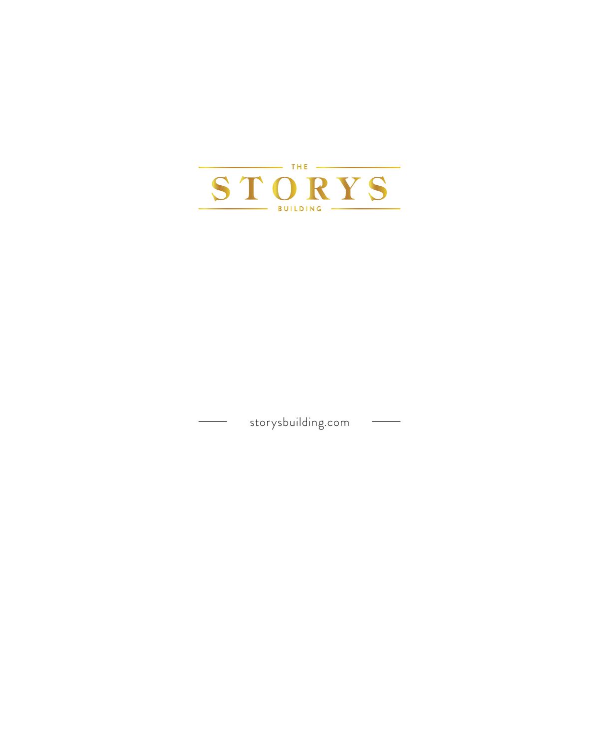

storysbuilding.com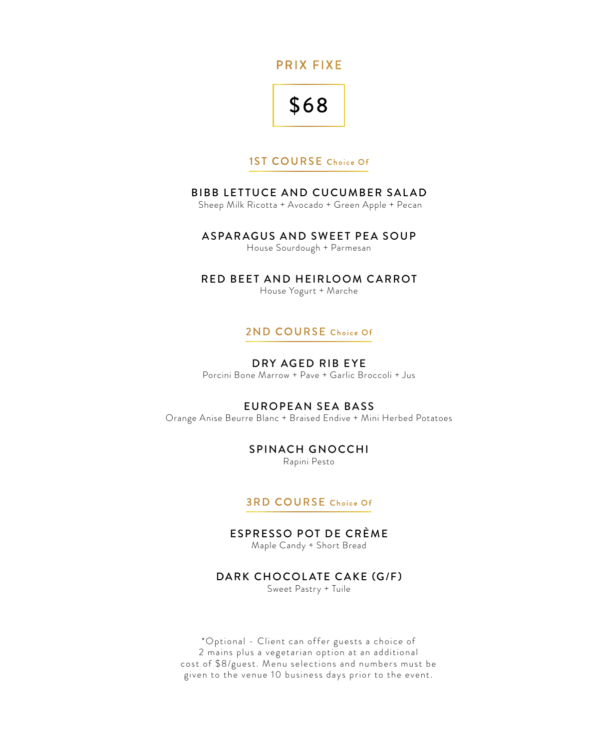# PRIX FIXE

# \$68

#### 1ST COURSE Choice Of

# BIBB LETTUCE AND CUCUMBER SALAD

Sheep Milk Ricotta + Avocado + Green Apple + Pecan

# ASPARAGUS AND SWEET PEA SOUP

House Sourdough + Parmesan

# RED BEET AND HEIRLOOM CARROT

House Yogurt + Marche

#### 2ND COURSE Choice Of

#### DRY AGED RIB EYE

Porcini Bone Marrow + Pave + Garlic Broccoli + Jus

#### EUROPEAN SEA BASS

Orange Anise Beurre Blanc + Braised Endive + Mini Herbed Potatoes

# SPINACH GNOCCHI

Rapini Pesto

# 3RD COURSE Choice Of

#### ESPRESSO POT DE CRÈME

Maple Candy + Short Bread

# DARK CHOCOLATE CAKE (G/F)

Sweet Pastry + Tuile

\*Optional - Client can offer guests a choice of 2 mains plus a vegetarian option at an additional cost of \$8/guest. Menu selections and numbers must be given to the venue 10 business days prior to the event.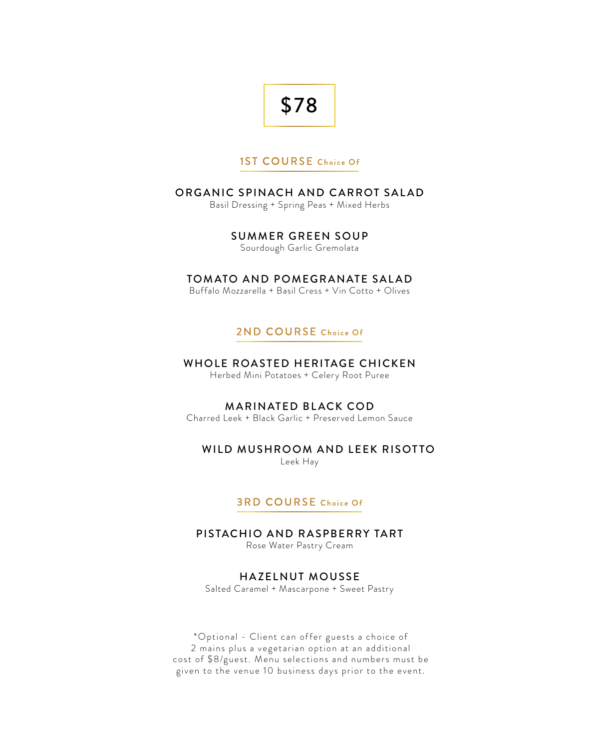# \$78

#### 1ST COURSE Choice Of

# ORGANIC SPINACH AND CARROT SALAD

Basil Dressing + Spring Peas + Mixed Herbs

#### SUMMER GREEN SOUP

Sourdough Garlic Gremolata

#### TOMATO AND POMEGRANATE SALAD

Buffalo Mozzarella + Basil Cress + Vin Cotto + Olives

#### 2ND COURSE Choice Of

#### WHOLE ROASTED HERITAGE CHICKEN

Herbed Mini Potatoes + Celery Root Puree

#### **MARINATED BLACK COD**

Charred Leek + Black Garlic + Preserved Lemon Sauce

#### WILD MUSHROOM AND LEEK RISOTTO Leek Hay

# 3RD COURSE Choice Of

# PISTACHIO AND RASPBERRY TART

Rose Water Pastry Cream

#### HAZELNUT MOUSSE

Salted Caramel + Mascarpone + Sweet Pastry

\*Optional - Client can offer guests a choice of 2 mains plus a vegetarian option at an additional cost of \$8/guest. Menu selections and numbers must be given to the venue 10 business days prior to the event.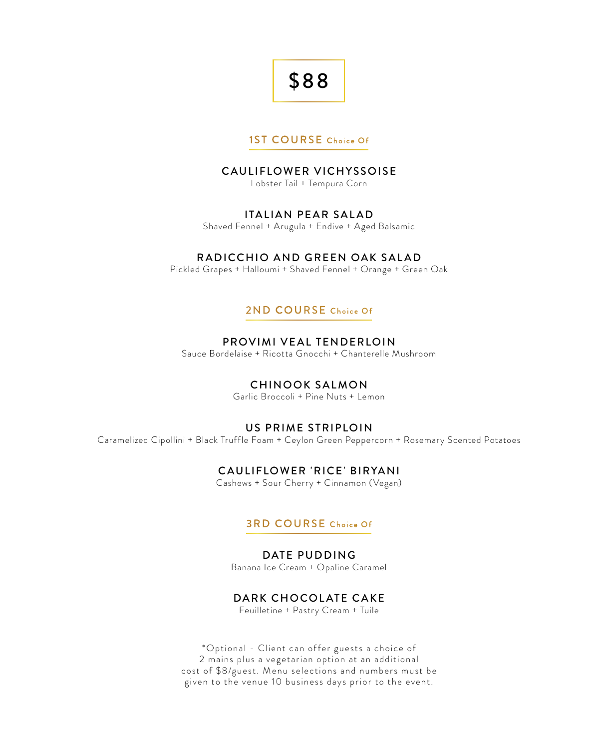\$88

#### 1ST COURSE Choice Of

### CAULIFLOWER VICHYSSOISE

Lobster Tail + Tempura Corn

#### ITALIAN PEAR SALAD

Shaved Fennel + Arugula + Endive + Aged Balsamic

#### RADICCHIO AND GREEN OAK SALAD

Pickled Grapes + Halloumi + Shaved Fennel + Orange + Green Oak

#### 2ND COURSE Choice Of

#### PROVIMI VEAL TENDERLOIN

Sauce Bordelaise + Ricotta Gnocchi + Chanterelle Mushroom

#### CHINOOK SALMON

Garlic Broccoli + Pine Nuts + Lemon

#### US PRIME STRIPLOIN

Caramelized Cipollini + Black Truffle Foam + Ceylon Green Peppercorn + Rosemary Scented Potatoes

### CAULIFLOWER 'RICE' BIRYANI

Cashews + Sour Cherry + Cinnamon (Vegan)

### 3RD COURSE Choice Of

#### DATE PUDDING

Banana Ice Cream + Opaline Caramel

# DARK CHOCOLATE CAKE

Feuilletine + Pastry Cream + Tuile

\*Optional - Client can offer guests a choice of 2 mains plus a vegetarian option at an additional cost of \$8/guest. Menu selections and numbers must be given to the venue 10 business days prior to the event.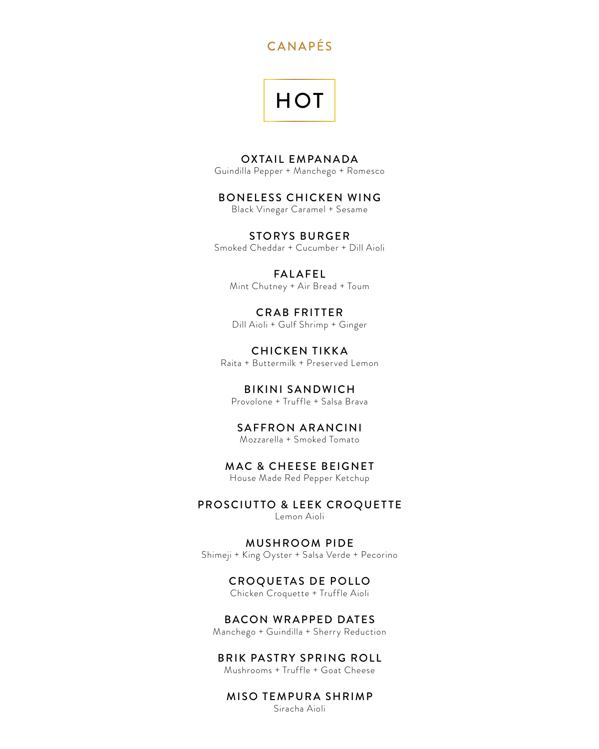# CANAPÉS



#### OXTAIL EMPANADA

Guindilla Pepper + Manchego + Romesco

#### BONELESS CHICKEN WING

Black Vinegar Caramel + Sesame

#### STORYS BURGER

Smoked Cheddar + Cucumber + Dill Aioli

#### FALAFEL

Mint Chutney + Air Bread + Toum

CRAB FRITTER Dill Aioli + Gulf Shrimp + Ginger

CHICKEN TIKKA Raita + Buttermilk + Preserved Lemon

BIKINI SANDWICH Provolone + Truffle + Salsa Brava

SAFFRON ARANCINI Mozzarella + Smoked Tomato

#### MAC & CHEESE BEIGNET

House Made Red Pepper Ketchup

# PROSCIUTTO & LEEK CROQUETTE

Lemon Aioli

#### MUSHROOM PIDE

Shimeji + King Oyster + Salsa Verde + Pecorino

#### CROQUETAS DE POLLO

Chicken Croquette + Truffle Aioli

#### BACON WRAPPED DATES

Manchego + Guindilla + Sherry Reduction

# BRIK PASTRY SPRING ROLL

Mushrooms + Truffle + Goat Cheese

# MISO TEMPURA SHRIMP

Siracha Aioli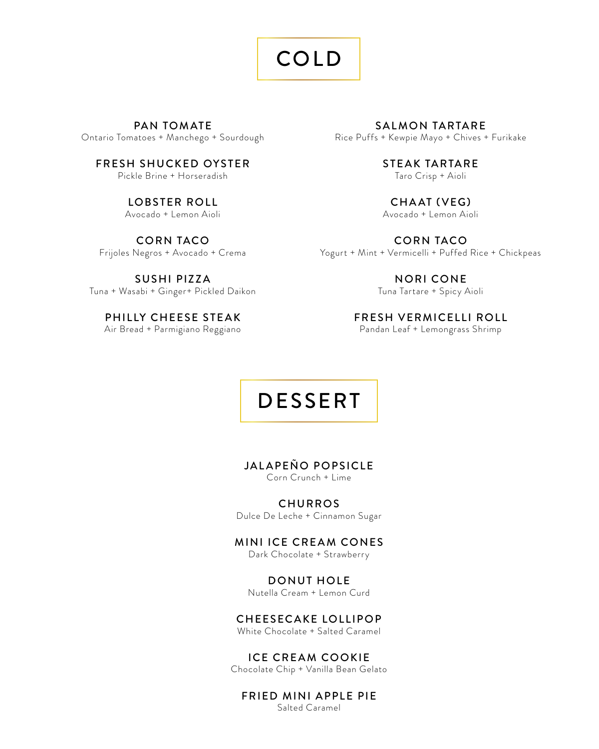# COLD

PAN TOMATE Ontario Tomatoes + Manchego + Sourdough

FRESH SHUCKED OYSTER Pickle Brine + Horseradish

> LOBSTER ROLL Avocado + Lemon Aioli

CORN TACO Frijoles Negros + Avocado + Crema

SUSHI PIZZA Tuna + Wasabi + Ginger+ Pickled Daikon

PHILLY CHEESE STEAK

Air Bread + Parmigiano Reggiano

SALMON TARTARE Rice Puffs + Kewpie Mayo + Chives + Furikake

> STEAK TARTARE Taro Crisp + Aioli

CHAAT (VEG) Avocado + Lemon Aioli

CORN TACO Yogurt + Mint + Vermicelli + Puffed Rice + Chickpeas

> NORI CONE Tuna Tartare + Spicy Aioli

FRESH VERMICELLI ROLL

Pandan Leaf + Lemongrass Shrimp

# DESSERT

JALAPEÑO POPSICLE

Corn Crunch + Lime

**CHURROS** 

Dulce De Leche + Cinnamon Sugar

# MINI ICE CREAM CONES

Dark Chocolate + Strawberry

# DONUT HOLE

Nutella Cream + Lemon Curd

# CHEESECAKE LOLLIPOP

White Chocolate + Salted Caramel

ICE CREAM COOKIE

Chocolate Chip + Vanilla Bean Gelato

# FRIED MINI APPLE PIE

Salted Caramel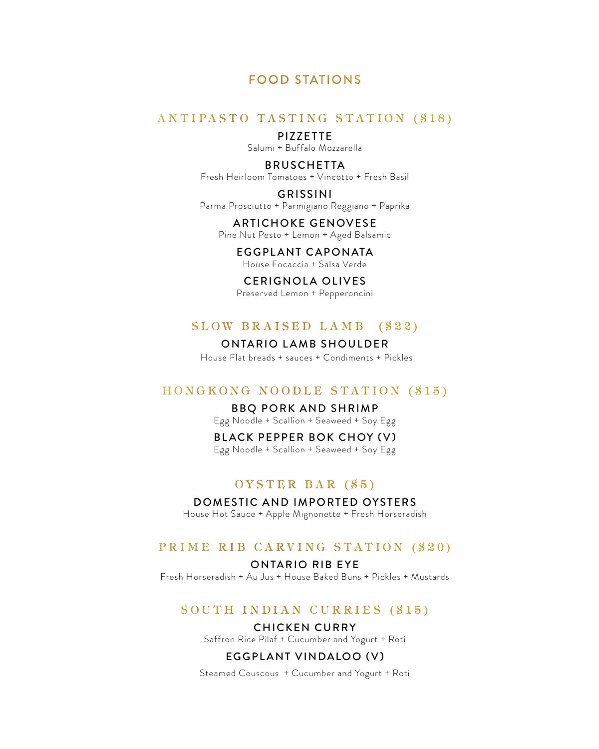# FOOD STATIONS

#### ANTIPASTO TASTING STATION (\$18)

#### **PIZZETTE**

Salumi + Buffalo Mozzarella

#### BRUSCHETTA

Fresh Heirloom Tomatoes + Vincotto + Fresh Basil

**GRISSINI** Parma Prosciutto + Parmigiano Reggiano + Paprika

ARTICHOKE GENOVESE Pine Nut Pesto + Lemon + Aged Balsamic

EGGPLANT CAPONATA House Focaccia + Salsa Verde

CERIGNOLA OLIVES Preserved Lemon + Pepperoncini

#### $SLOW BRA$   $SED$   $LAMB$   $(S22)$

ONTARIO LAMB SHOULDER House Flat breads + sauces + Condiments + Pickles

#### HONGKONG NOODLE STATION (\$15)

BBQ PORK AND SHRIMP Egg Noodle + Scallion + Seaweed + Soy Egg

# BLACK PEPPER BOK CHOY (V)

Egg Noodle + Scallion + Seaweed + Soy Egg

#### OYSTER BAR  $(85)$

# DOMESTIC AND IMPORTED OYSTERS

House Hot Sauce + Apple Mignonette + Fresh Horseradish

#### PRIME RIB CARVING STATION (\$20)

ONTARIO RIB EYE Fresh Horseradish + Au Jus + House Baked Buns + Pickles + Mustards

#### SOUTH INDIAN CURRIES (\$15)

CHICKEN CURRY Saffron Rice Pilaf + Cucumber and Yogurt + Roti

#### EGGPLANT VINDALOO (V)

Steamed Couscous + Cucumber and Yogurt + Roti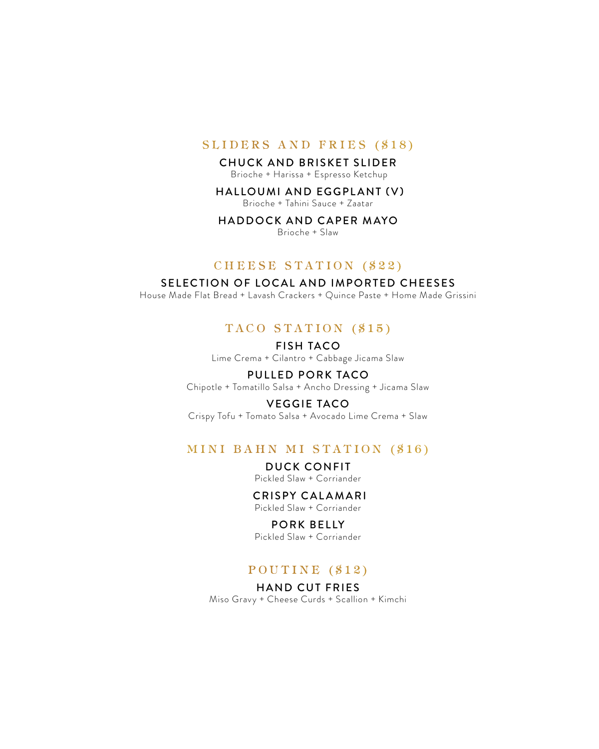#### $SLIDERS AND FRIES (818)$

#### CHUCK AND BRISKET SLIDER

Brioche + Harissa + Espresso Ketchup

#### HALLOUMI AND EGGPLANT (V)

Brioche + Tahini Sauce + Zaatar

#### HADDOCK AND CAPER MAYO

Brioche + Slaw

#### CHEESE STATION (\$22)

#### SELECTION OF LOCAL AND IMPORTED CHEESES

House Made Flat Bread + Lavash Crackers + Quince Paste + Home Made Grissini

# TACO STATION (\$15)

FISH TACO Lime Crema + Cilantro + Cabbage Jicama Slaw

# PULLED PORK TACO

Chipotle + Tomatillo Salsa + Ancho Dressing + Jicama Slaw

# VEGGIE TACO

Crispy Tofu + Tomato Salsa + Avocado Lime Crema + Slaw

# MINI BAHN MI STATION (\$16)

# DUCK CONFIT

Pickled Slaw + Corriander

#### CRISPY CALAMARI Pickled Slaw + Corriander

PORK BELLY Pickled Slaw + Corriander

# POUTINE  $(812)$

HAND CUT FRIES Miso Gravy + Cheese Curds + Scallion + Kimchi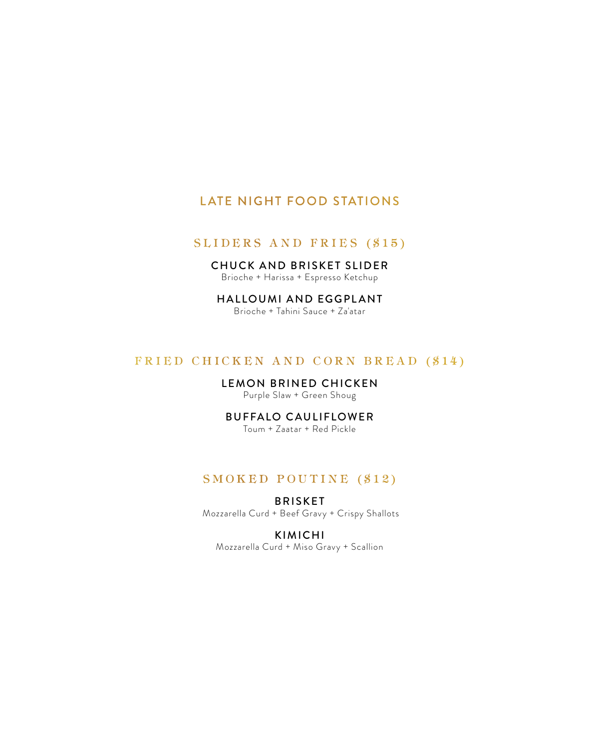# LATE NIGHT FOOD STATIONS

#### SLIDERS AND FRIES (\$15)

CHUCK AND BRISKET SLIDER Brioche + Harissa + Espresso Ketchup

# HALLOUMI AND EGGPLANT

Brioche + Tahini Sauce + Za'atar

# FRIED CHICKEN AND CORN BREAD (\$14)

LEMON BRINED CHICKEN Purple Slaw + Green Shoug

BUFFALO CAULIFLOWER Toum + Zaatar + Red Pickle

# SMOKED POUTINE (\$12)

BRISKET

Mozzarella Curd + Beef Gravy + Crispy Shallots

KIMICHI

Mozzarella Curd + Miso Gravy + Scallion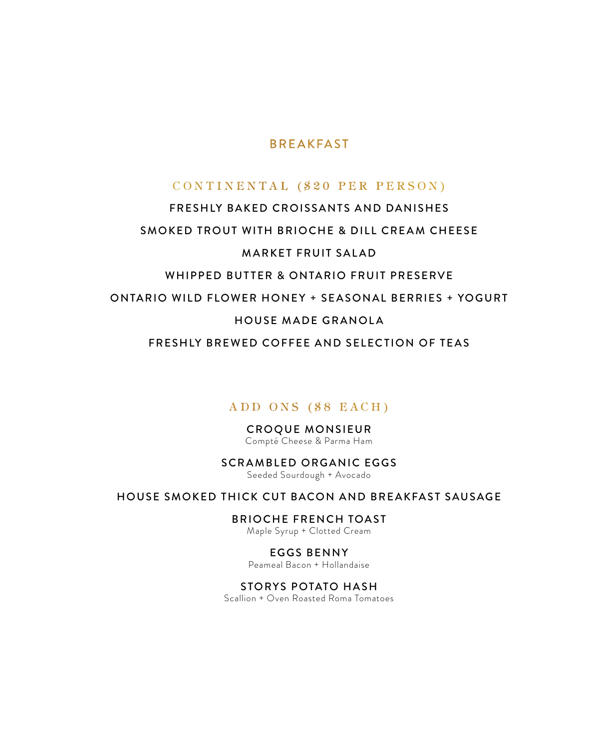# BREAKFAST

# CONTINENTAL (\$20 PER PERSON)

FRESHLY BAKED CROISSANTS AND DANISHES

# SMOKED TROUT WITH BRIOCHE & DILL CREAM CHEESE

# **MARKET FRUIT SALAD**

# WHIPPED BUTTER & ONTARIO FRUIT PRESERVE

ONTARIO WILD FLOWER HONEY + SEASONAL BERRIES + YOGURT

# HOUSE MADE GRANOLA

#### FRESHLY BREWED COFFEE AND SELECTION OF TEAS

# ADD ONS (\$8 EACH)

#### CRO QUE MONSIEUR Compté Cheese & Parma Ham

# SCRAMBLED ORGANIC EGGS

Seeded Sourdough + Avocado

HOUSE SMOKED THICK CUT BACON AND BREAKFAST SAUSAGE

BRIOCHE FRENCH TOAST

Maple Syrup + Clotted Cream

# EGGS BENNY

Peameal Bacon + Hollandaise

# STORYS POTATO HASH

Scallion + Oven Roasted Roma Tomatoes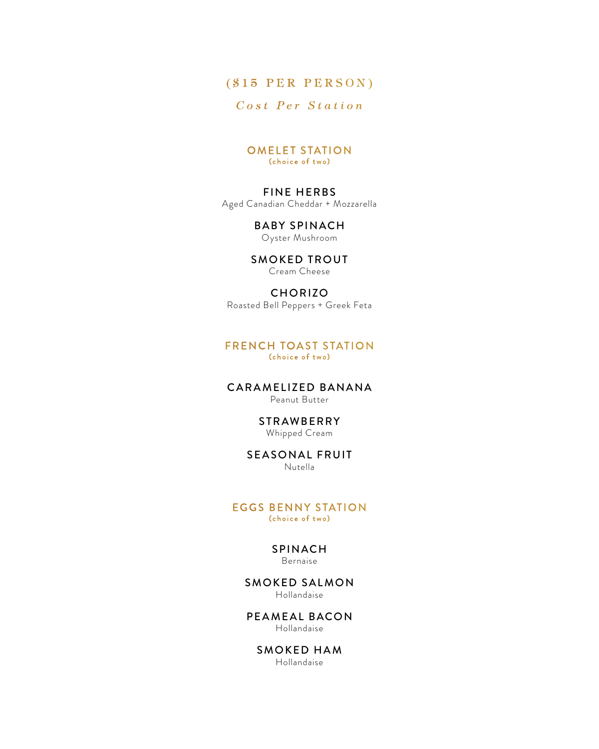(\$15 PER PERSON)

*C ost Per Station*

OMELET STATION (choice of two)

#### FINE HERBS Aged Canadian Cheddar + Mozzarella

BABY SPINACH Oyster Mushroom

SMOKED TROUT Cream Cheese

CHORIZO Roasted Bell Peppers + Greek Feta

FRENCH TOAST STATION (choice of two)

CARAMELIZED BANANA Peanut Butter

# STRAWBERRY

Whipped Cream

SEASONAL FRUIT Nutella

EGGS BENNY STATION (choice of two)

#### SPINACH

Bernaise

SMOKED SALMON Hollandaise

PEAMEAL BACON Hollandaise

> SMOKED HAM Hollandaise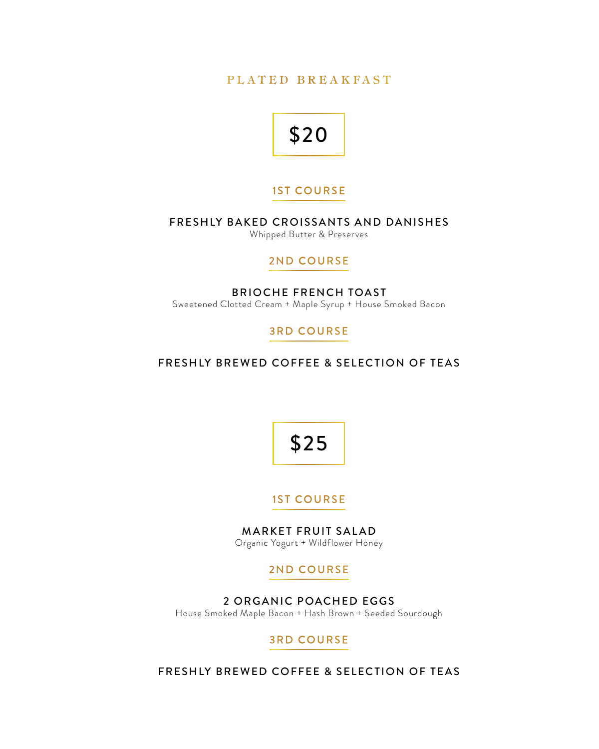PLATED BREAKFAST



# 1ST COURSE

FRESHLY BAKED CROISSANTS AND DANISHES

Whipped Butter & Preserves

# 2ND COURSE

BRIOCHE FRENCH TOAST Sweetened Clotted Cream + Maple Syrup + House Smoked Bacon

# 3RD COURSE

# FRESHLY BREWED COFFEE & SELECTION OF TEAS

$$
$25
$$

# 1ST COURSE

**MARKET FRUIT SALAD** Organic Yogurt + Wildflower Honey

# 2ND COURSE

2 ORGANIC POACHED EGGS House Smoked Maple Bacon + Hash Brown + Seeded Sourdough

# 3RD COURSE

FRESHLY BREWED COFFEE & SELECTION OF TEAS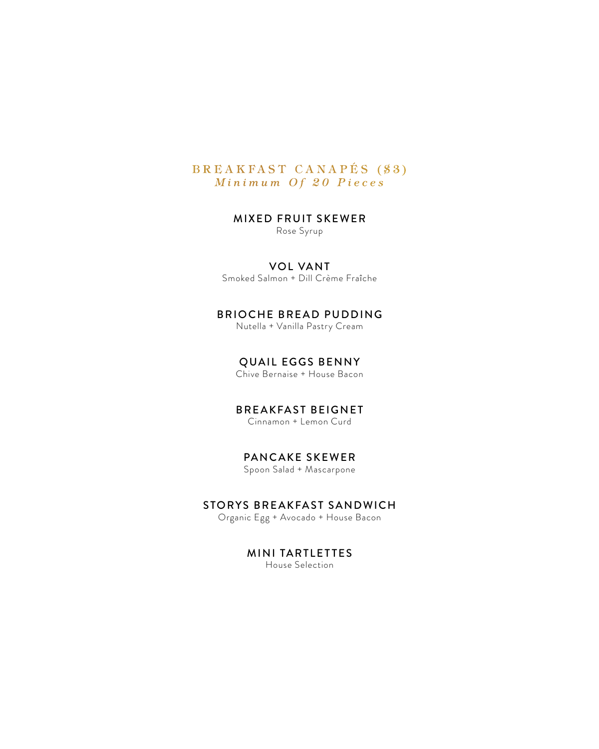# BREAKFAST CANAPÉS (\$3) *Minimum Of 20 Pieces*

#### MIXED FRUIT SKEWER

Rose Syrup

#### VOL VANT

Smoked Salmon + Dill Crème Fraîche

# BRIOCHE BREAD PUDDING

Nutella + Vanilla Pastry Cream

# QUAIL EGGS BENNY

Chive Bernaise + House Bacon

# BREAKFAST BEIGNET

Cinnamon + Lemon Curd

# PANCAKE SKEWER

Spoon Salad + Mascarpone

# STORYS BREAKFAST SANDWICH

Organic Egg + Avocado + House Bacon

#### MINI TARTLETTES

House Selection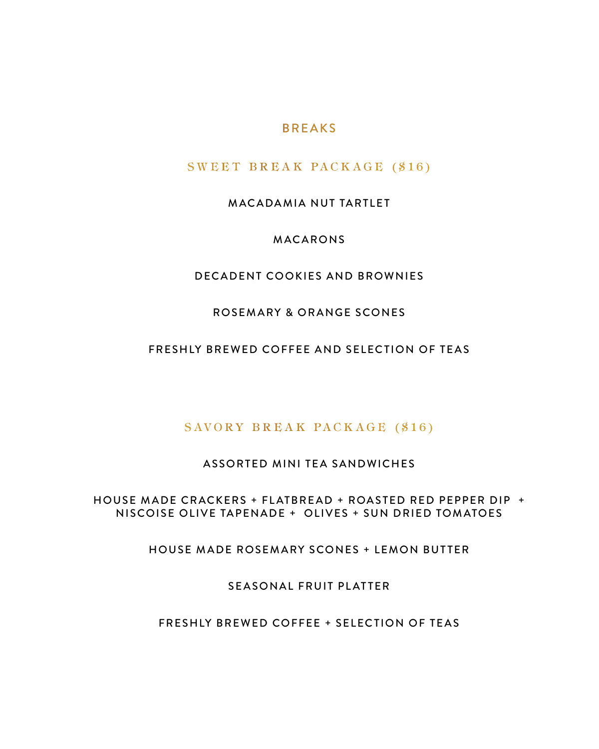# BREAKS

# SWEET BREAK PACKAGE (\$16)

# MACADAMIA NUT TARTLET

# **MACARONS**

# DECADENT COOKIES AND BROWNIES

# ROSEMARY & ORANGE SCONES

# FRESHLY BREWED COFFEE AND SELECTION OF TEAS

# SAVORY BREAK PACK AGE (\$16)

# ASSORTED MINI TEA SANDWICHES

# HOUSE MADE CRACKERS + FLATBREAD + ROASTED RED PEPPER DIP + NISCOISE OLIVE TAPENADE + OLIVES + SUN DRIED TOMATOES

#### HOUSE MADE ROSEMARY SCONES + LEMON BUTTER

# SEASONAL FRUIT PLATTER

#### FRESHLY BREWED COFFEE + SELECTION OF TEAS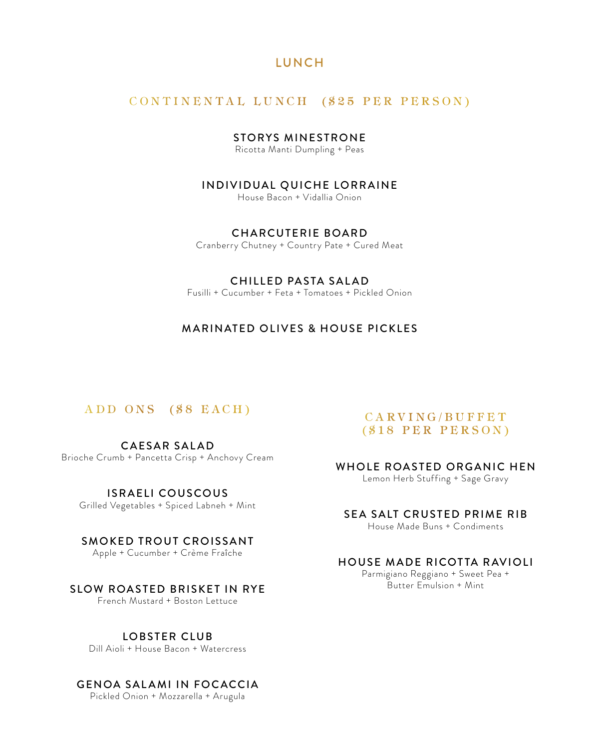# **LUNCH**

# CONTINENTAL LUNCH (\$25 PER PERSON)

#### STORYS MINESTRONE

Ricotta Manti Dumpling + Peas

#### INDIVIDUAL QUICHE LORRAINE

House Bacon + Vidallia Onion

# CHARCUTERIE BOARD

Cranberry Chutney + Country Pate + Cured Meat

#### CHILLED PASTA SALAD

Fusilli + Cucumber + Feta + Tomatoes + Pickled Onion

# MARINATED OLIVES & HOUSE PICKLES

# ADD ONS (\$8 EACH)

#### CAESAR SALAD

Brioche Crumb + Pancetta Crisp + Anchovy Cream

ISRAELI COUSCOUS Grilled Vegetables + Spiced Labneh + Mint

SMOKED TROUT CROISSANT

Apple + Cucumber + Crème Fraîche

# SLOW ROASTED BRISKET IN RYE

French Mustard + Boston Lettuce

# LOBSTER CLUB

Dill Aioli + House Bacon + Watercress

#### GENOA SALAMI IN FOCACCIA

Pickled Onion + Mozzarella + Arugula

# CARVING/BUFFET (\$18 PER PERSON)

#### WHOLE ROASTED ORGANIC HEN

Lemon Herb Stuffing + Sage Gravy

#### SEA SALT CRUSTED PRIME RIB

House Made Buns + Condiments

#### HOUSE MADE RICOTTA RAVIOLI

Parmigiano Reggiano + Sweet Pea + Butter Emulsion + Mint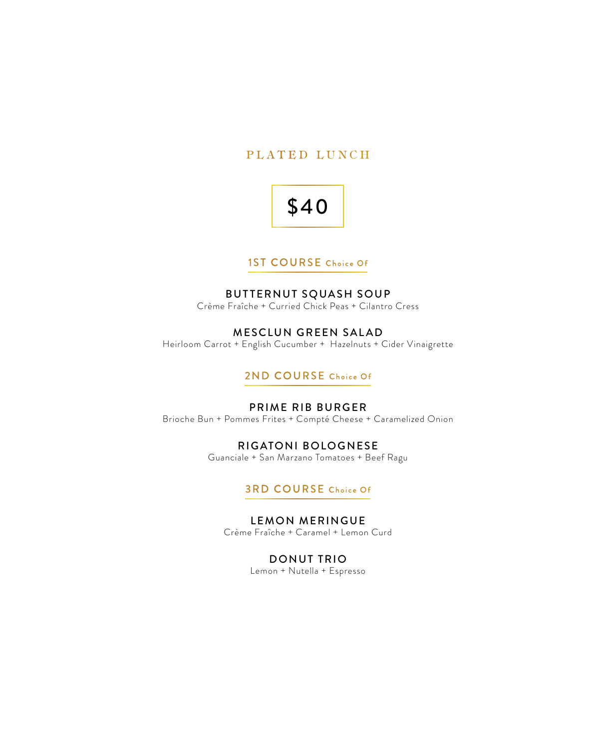# PLATED LUNCH

# \$40

#### 1ST COURSE Choice Of

#### BUTTERNUT SQUASH SOUP

Crème Fraîche + Curried Chick Peas + Cilantro Cress

#### MESCLUN GREEN SALAD

Heirloom Carrot + English Cucumber + Hazelnuts + Cider Vinaigrette

# 2ND COURSE Choice Of

#### PRIME RIB BURGER

Brioche Bun + Pommes Frites + Compté Cheese + Caramelized Onion

# RIGATONI BOLOGNESE

Guanciale + San Marzano Tomatoes + Beef Ragu

#### 3RD COURSE Choice Of

# LEMON MERINGUE

Crème Fraîche + Caramel + Lemon Curd

### DONUT TRIO

Lemon + Nutella + Espresso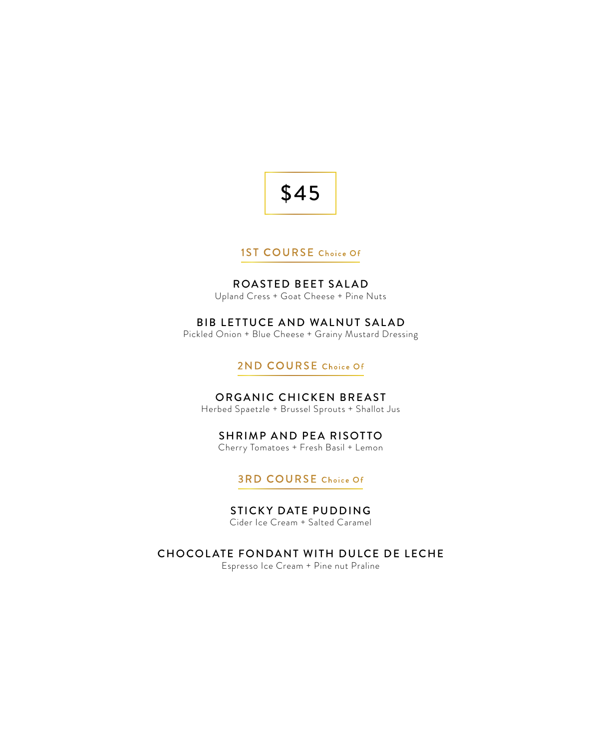# \$45

#### 1ST COURSE Choice Of

# ROASTED BEET SALAD

Upland Cress + Goat Cheese + Pine Nuts

### BIB LETTUCE AND WALNUT SALAD

Pickled Onion + Blue Cheese + Grainy Mustard Dressing

### 2ND COURSE Choice Of

# ORGANIC CHICKEN BREAST

Herbed Spaetzle + Brussel Sprouts + Shallot Jus

# SHRIMP AND PEA RISOTTO

Cherry Tomatoes + Fresh Basil + Lemon

# 3RD COURSE Choice Of

#### STICKY DATE PUDDING

Cider Ice Cream + Salted Caramel

# CHOCOLATE FONDANT WITH DULCE DE LECHE

Espresso Ice Cream + Pine nut Praline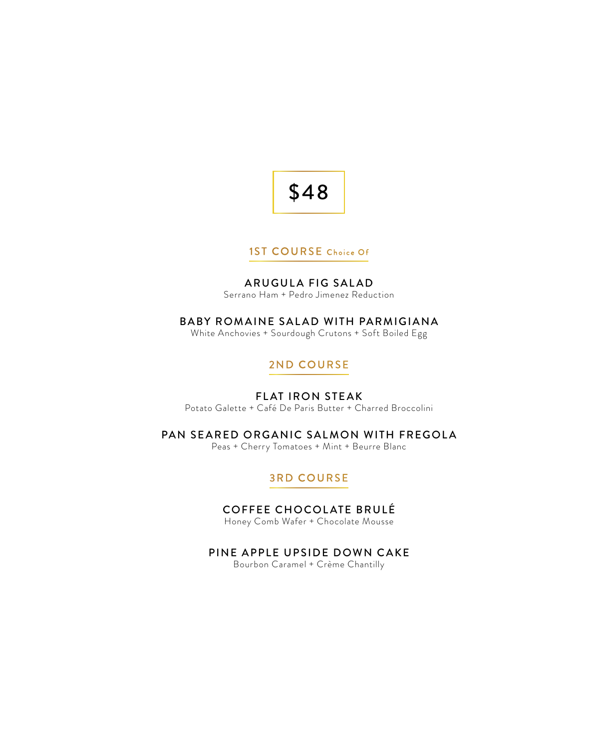\$48

#### 1ST COURSE Choice Of

#### ARUGULA FIG SALAD

Serrano Ham + Pedro Jimenez Reduction

#### BABY ROMAINE SALAD WITH PARMIGIANA

White Anchovies + Sourdough Crutons + Soft Boiled Egg

# 2ND COURSE

# **FLAT IRON STEAK**

Potato Galette + Café De Paris Butter + Charred Broccolini

#### PAN SEARED ORGANIC SALMON WITH FREGOLA

Peas + Cherry Tomatoes + Mint + Beurre Blanc

# 3RD COURSE

# COFFEE CHOCOLATE BRULÉ

Honey Comb Wafer + Chocolate Mousse

#### PINE APPLE UPSIDE DOWN CAKE

Bourbon Caramel + Crème Chantilly